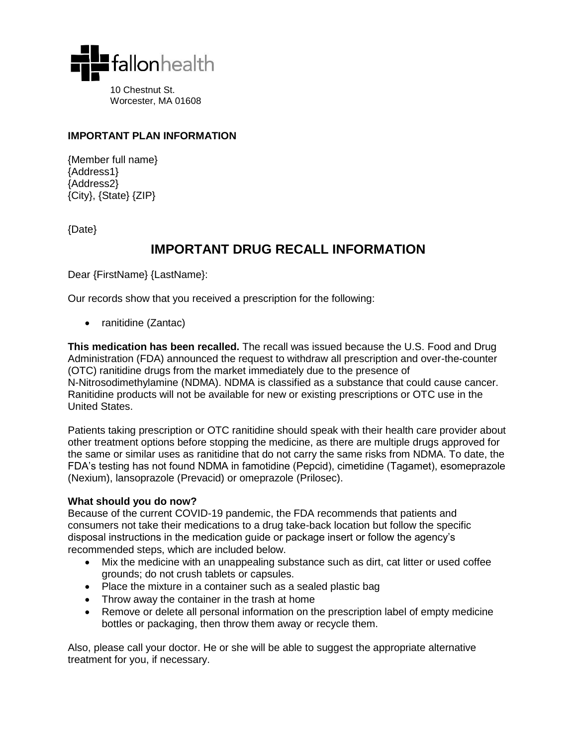

Worcester, MA 01608

#### **IMPORTANT PLAN INFORMATION**

{Member full name} {Address1} {Address2} {City}, {State} {ZIP}

{Date}

## **IMPORTANT DRUG RECALL INFORMATION**

Dear {FirstName} {LastName}:

Our records show that you received a prescription for the following:

• ranitidine (Zantac)

**This medication has been recalled.** The recall was issued because the U.S. Food and Drug Administration (FDA) announced the request to withdraw all prescription and over-the-counter (OTC) ranitidine drugs from the market immediately due to the presence of N-Nitrosodimethylamine (NDMA). NDMA is classified as a substance that could cause cancer. Ranitidine products will not be available for new or existing prescriptions or OTC use in the United States.

Patients taking prescription or OTC ranitidine should speak with their health care provider about other treatment options before stopping the medicine, as there are multiple drugs approved for the same or similar uses as ranitidine that do not carry the same risks from NDMA. To date, the FDA's testing has not found NDMA in famotidine (Pepcid), cimetidine (Tagamet), esomeprazole (Nexium), lansoprazole (Prevacid) or omeprazole (Prilosec).

#### **What should you do now?**

Because of the current COVID-19 pandemic, the FDA recommends that patients and consumers not take their medications to a drug take-back location but follow the specific disposal instructions in the medication guide or package insert or follow the agency's recommended steps, which are included below.

- Mix the medicine with an unappealing substance such as dirt, cat litter or used coffee grounds; do not crush tablets or capsules.
- Place the mixture in a container such as a sealed plastic bag
- Throw away the container in the trash at home
- Remove or delete all personal information on the prescription label of empty medicine bottles or packaging, then throw them away or recycle them.

Also, please call your doctor. He or she will be able to suggest the appropriate alternative treatment for you, if necessary.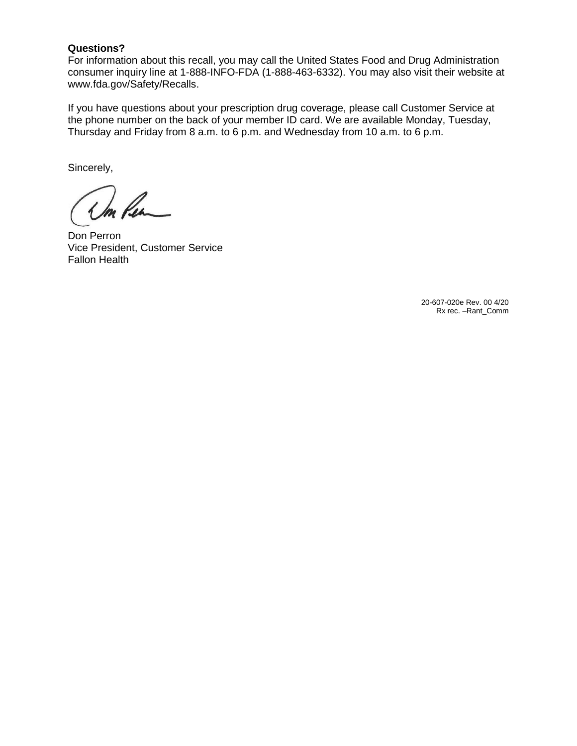#### **Questions?**

For information about this recall, you may call the United States Food and Drug Administration consumer inquiry line at 1-888-INFO-FDA (1-888-463-6332). You may also visit their website at www.fda.gov/Safety/Recalls.

If you have questions about your prescription drug coverage, please call Customer Service at the phone number on the back of your member ID card. We are available Monday, Tuesday, Thursday and Friday from 8 a.m. to 6 p.m. and Wednesday from 10 a.m. to 6 p.m.

Sincerely,

m Pen

Don Perron Vice President, Customer Service Fallon Health

20-607-020e Rev. 00 4/20 Rx rec. –Rant\_Comm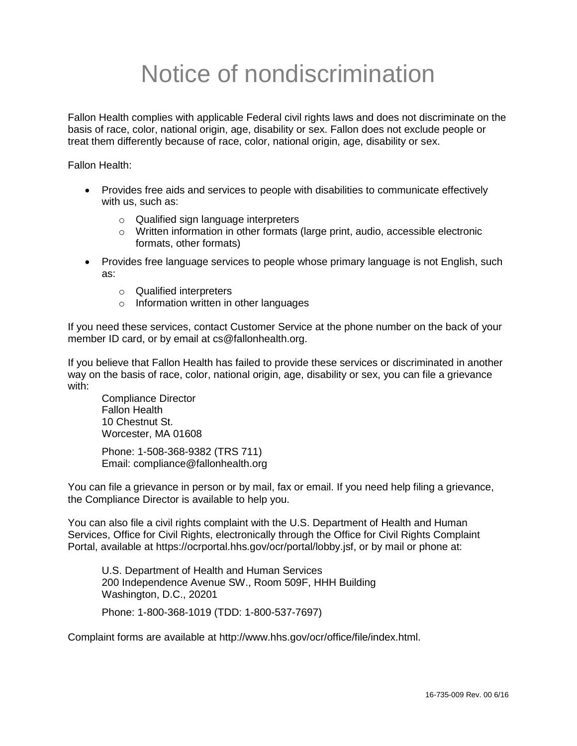# Notice of nondiscrimination

Fallon Health complies with applicable Federal civil rights laws and does not discriminate on the basis of race, color, national origin, age, disability or sex. Fallon does not exclude people or treat them differently because of race, color, national origin, age, disability or sex.

Fallon Health:

- Provides free aids and services to people with disabilities to communicate effectively with us, such as:
	- o Qualified sign language interpreters
	- $\circ$  Written information in other formats (large print, audio, accessible electronic formats, other formats)
- Provides free language services to people whose primary language is not English, such as:
	- o Qualified interpreters
	- o Information written in other languages

If you need these services, contact Customer Service at the phone number on the back of your member ID card, or by email at cs@fallonhealth.org.

If you believe that Fallon Health has failed to provide these services or discriminated in another way on the basis of race, color, national origin, age, disability or sex, you can file a grievance with:

Compliance Director Fallon Health 10 Chestnut St. Worcester, MA 01608

Phone: 1-508-368-9382 (TRS 711) Email: compliance@fallonhealth.org

You can file a grievance in person or by mail, fax or email. If you need help filing a grievance, the Compliance Director is available to help you.

You can also file a civil rights complaint with the U.S. Department of Health and Human Services, Office for Civil Rights, electronically through the Office for Civil Rights Complaint Portal, available at https://ocrportal.hhs.gov/ocr/portal/lobby.jsf, or by mail or phone at:

U.S. Department of Health and Human Services 200 Independence Avenue SW., Room 509F, HHH Building Washington, D.C., 20201

Phone: 1-800-368-1019 (TDD: 1-800-537-7697)

Complaint forms are available at http://www.hhs.gov/ocr/office/file/index.html.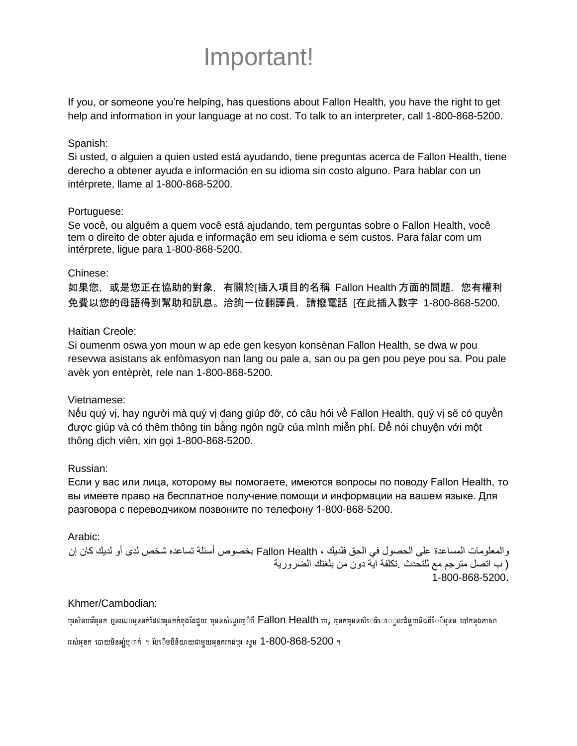## Important!

If you, or someone you're helping, has questions about Fallon Health, you have the right to get help and information in your language at no cost. To talk to an interpreter, call 1-800-868-5200.

#### Spanish:

Si usted, o alguien a quien usted está ayudando, tiene preguntas acerca de Fallon Health, tiene derecho a obtener ayuda e información en su idioma sin costo alguno. Para hablar con un intérprete, llame al 1-800-868-5200.

#### Portuguese:

Se você, ou alguém a quem você está ajudando, tem perguntas sobre o Fallon Health, você tem o direito de obter ajuda e informação em seu idioma e sem custos. Para falar com um intérprete, ligue para 1-800-868-5200.

#### Chinese:

如果您,或是您正在協助的對象,有關於[插入項目的名稱 Fallon Health 方面的問題,您有權利 免費以您的母語得到幫助和訊息。洽詢一位翻譯員,請撥電話 [在此插入數字 1-800-868-5200.

## Haitian Creole:

Si oumenm oswa yon moun w ap ede gen kesyon konsènan Fallon Health, se dwa w pou resevwa asistans ak enfòmasyon nan lang ou pale a, san ou pa gen pou peye pou sa. Pou pale avèk yon entèprèt, rele nan 1-800-868-5200.

#### Vietnamese:

Nếu quý vị, hay người mà quý vị đang giúp đỡ, có câu hỏi về Fallon Health, quý vị sẽ có quyền được giúp và có thêm thông tin bằng ngôn ngữ của mình miễn phí. Để nói chuyện với một thông dịch viên, xin gọi 1-800-868-5200.

#### Russian:

Если у вас или лица, которому вы помогаете, имеются вопросы по поводу Fallon Health, то вы имеете право на бесплатное получение помощи и информации на вашем языке. Для разговора с переводчиком позвоните по телефону 1-800-868-5200.

#### Arabic:

والمعلومات المساعدة على الحصول في الحق فلديك ، Health Fallon بخصوص أسئلة تساعده شخص لدى أو لديك كان إن ( ب اتصل مترجم مع للتحدث .تكلفة اية دون من بلغتك الضرورية 1-800-868-5200.

#### Khmer/Cambodian:

ប្រសិនបរើអ្នក ឬនរណាម្មននក់ដែលអ្ននកកំពុងដែជួយ ម្មននសំណួរអ្ំំពី Fallon Health រប, អ្នកម្មននសិរៈេធិរៈេុលជំនួយនិងព័ែ៌ម្មនន រៅកន្លងភាសា

ររស់អុនក របាយមិនអ្ប់ឬាក់ ។ បែ្រើមបីនិយាយជាមួយអុនករកដបូរ សូម 1-800-868-5200 ។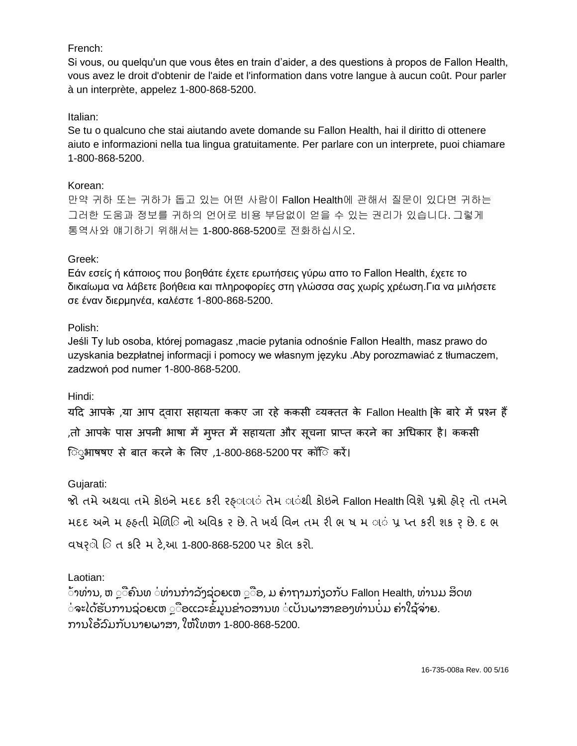## French:

Si vous, ou quelqu'un que vous êtes en train d'aider, a des questions à propos de Fallon Health, vous avez le droit d'obtenir de l'aide et l'information dans votre langue à aucun coût. Pour parler à un interprète, appelez 1-800-868-5200.

## Italian:

Se tu o qualcuno che stai aiutando avete domande su Fallon Health, hai il diritto di ottenere aiuto e informazioni nella tua lingua gratuitamente. Per parlare con un interprete, puoi chiamare 1-800-868-5200.

#### Korean:

만약 귀하 또는 귀하가 돕고 있는 어떤 사람이 Fallon Health에 관해서 질문이 있다면 귀하는 그러한 도움과 정보를 귀하의 언어로 비용 부담없이 얻을 수 있는 권리가 있습니다. 그렇게 통역사와 얘기하기 위해서는 1-800-868-5200로 전화하십시오.

## Greek:

Εάν εσείς ή κάποιος που βοηθάτε έχετε ερωτήσεις γύρω απο το Fallon Health, έχετε το δικαίωμα να λάβετε βοήθεια και πληροφορίες στη γλώσσα σας χωρίς χρέωση.Για να μιλήσετε σε έναν διερμηνέα, καλέστε 1-800-868-5200.

## Polish:

Jeśli Ty lub osoba, której pomagasz ,macie pytania odnośnie Fallon Health, masz prawo do uzyskania bezpłatnej informacji i pomocy we własnym języku .Aby porozmawiać z tłumaczem, zadzwoń pod numer 1-800-868-5200.

Hindi:

यदि आपके ,या आप द्वारा सहायता ककए जा रहे ककसी व्यक्तत के Fallon Health [के बारे में प्रश्न हैं ,तो आपके पास अपनी भाषा में मुफ्त में सहायता और सूचना प्राप्त करने का अधिकार है। ककसी िुुुभाषषए से बात करने के लिए ,1-800-868-5200 पर कॉिु करें।

## Gujarati:

જો તમે અથવા તમે કોઇને મદદ કરી રહ્ાા**ં તેમ ા**ંથી કોઇને Fallon Health વિશે પ્રશ્નો હોર્ તો તમને મદદ અને મ હ્હતી મેળિિનો અવિક ર છે. તે ખર્ચ વિન તમ રી ભ ષ મ ાં પ્ર પ્ત કરી શક ર છે. દ ભ વષર્ાો વા ત કરર મ ટે,આ 1-800-868-5200 પર કોલ કરો.

## Laotian:

```
້າທ່ານ, ຫ ືຄົນທ ່ທ່ານກຳລັງຊ່ວຍເຫ ືອ, ມ ຄາຖາມກ່າວກັບ Fallon Health, ທ່ານມ ສິດທ
່ຈະໄດ້ຮັບການຊ່ວຍເຫ ຼື ອແລະຂໍ້ມູນຂ່າວສານທ ່ເປັນພາສາຂອງທ່ານບໍມ ຄ່າໃຊ້ຈ່າຍ.
ການໂອ້ລົມກັບນາຍພາສາ, ໃຫ້ໂທຫາ 1-800-868-5200.
```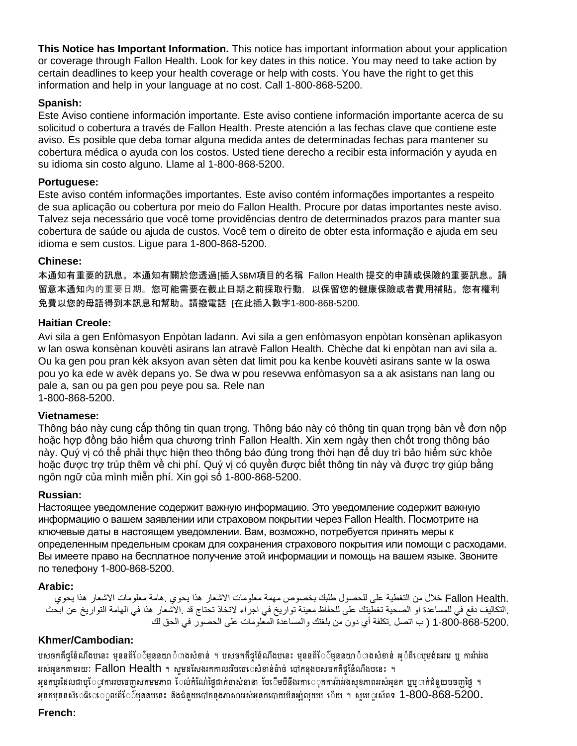**This Notice has Important Information.** This notice has important information about your application or coverage through Fallon Health. Look for key dates in this notice. You may need to take action by certain deadlines to keep your health coverage or help with costs. You have the right to get this information and help in your language at no cost. Call 1-800-868-5200.

## **Spanish:**

Este Aviso contiene información importante. Este aviso contiene información importante acerca de su solicitud o cobertura a través de Fallon Health. Preste atención a las fechas clave que contiene este aviso. Es posible que deba tomar alguna medida antes de determinadas fechas para mantener su cobertura médica o ayuda con los costos. Usted tiene derecho a recibir esta información y ayuda en su idioma sin costo alguno. Llame al 1-800-868-5200.

#### **Portuguese:**

Este aviso contém informações importantes. Este aviso contém informações importantes a respeito de sua aplicação ou cobertura por meio do Fallon Health. Procure por datas importantes neste aviso. Talvez seja necessário que você tome providências dentro de determinados prazos para manter sua cobertura de saúde ou ajuda de custos. Você tem o direito de obter esta informação e ajuda em seu idioma e sem custos. Ligue para 1-800-868-5200.

## **Chinese:**

本通知有重要的訊息。本通知有關於您透過[插入SBM項目的名稱 Fallon Health 提交的申請或保險的重要訊息。請 留意本通知內的重要日期。您可能需要在截止日期之前採取行動,以保留您的健康保險或者費用補貼。您有權利 免費以您的母語得到本訊息和幫助。請撥電話 [在此插入數字1-800-868-5200.

## **Haitian Creole:**

Avi sila a gen Enfòmasyon Enpòtan ladann. Avi sila a gen enfòmasyon enpòtan konsènan aplikasyon w lan oswa konsènan kouvèti asirans lan atravè Fallon Health. Chèche dat ki enpòtan nan avi sila a. Ou ka gen pou pran kèk aksyon avan sèten dat limit pou ka kenbe kouvèti asirans sante w la oswa pou yo ka ede w avèk depans yo. Se dwa w pou resevwa enfòmasyon sa a ak asistans nan lang ou pale a, san ou pa gen pou peye pou sa. Rele nan 1-800-868-5200.

#### **Vietnamese:**

Thông báo này cung cấp thông tin quan trọng. Thông báo này có thông tin quan trọng bàn về đơn nộp hoặc hợp đồng bảo hiểm qua chương trình Fallon Health. Xin xem ngày then chốt trong thông báo này. Quý vị có thể phải thực hiện theo thông báo đúng trong thời hạn để duy trì bảo hiểm sức khỏe hoặc được trợ trúp thêm về chi phí. Quý vị có quyền được biết thông tin này và được trợ giúp bằng ngôn ngữ của mình miễn phí. Xin gọi số 1-800-868-5200.

#### **Russian:**

Настоящее уведомление содержит важную информацию. Это уведомление содержит важную информацию о вашем заявлении или страховом покрытии через Fallon Health. Посмотрите на ключевые даты в настоящем уведомлении. Вам, возможно, потребуется принять меры к определенным предельным срокам для сохранения страхового покрытия или помощи с расходами. Вы имеете право на бесплатное получение этой информации и помощь на вашем языке. Звоните по телефону 1-800-868-5200.

#### **Arabic:**

 .Health Fallon خالل من التغطية على للحصول طلبك بخصوص مهمة معلومات االشعار هذا يحوي .هامة معلومات االشعار هذا يحوي .التكاليف دفع في للمساعدة او الصحية تغطيتك على للحفاظ معينة تواريخ في اجراء لاتخاذ تحتاج قد .الاشعار هذا في الهامة التواريخ عن ابحث 1-800-868-5200. ( ب اتصل .تكلفة أي دون من بلغتك والمساعدة المعلومات على الحصور في الحق لك

## **Khmer/Cambodian:**

បសចកតីជូនែំណឹងបនេះ មុននព័ែែ៌មននយា៉ាលងសំខាន់ ។ បសចកតីជូនែំណឹងបនេះ មុននព័ែែ៌មុននយា៉ាហងសំខាន់ អ**ំពីេប្**មង់ដររេ ឬ ការរ៉ារ់រង ររស់អុនកតាមរយៈ Fallon Health ។ សូមដសែងរកកាលររិបរចរ សំខាន់ចំាច់ បៅកនុងបសចកតីជូនៃំណឹងបនេះ ។ អនកប្រដែលជាប្ែ្កការរបបចញសកមមភាព ែល់កំណែថ្ងៃជាក់ចាស់នានា បែែើមបីនឹងរការៈុកការរ៉ារ់រងសុខភាពររស់អុនក ឬប្រាក់ជំនួយបចញថ្ងៃ ។ អនកម្មននសិរ**ៈធិរៈ**េលព័រែ៉ំ ៌ម្មននបនេះ និងជំនួយបៅកន្លងភាសាររស់អនកបោយមិនអ្ប់លុយប ើយ ។ សុមេ**្តរស័ពទ 1-800-868-5200.** 

## **French:**